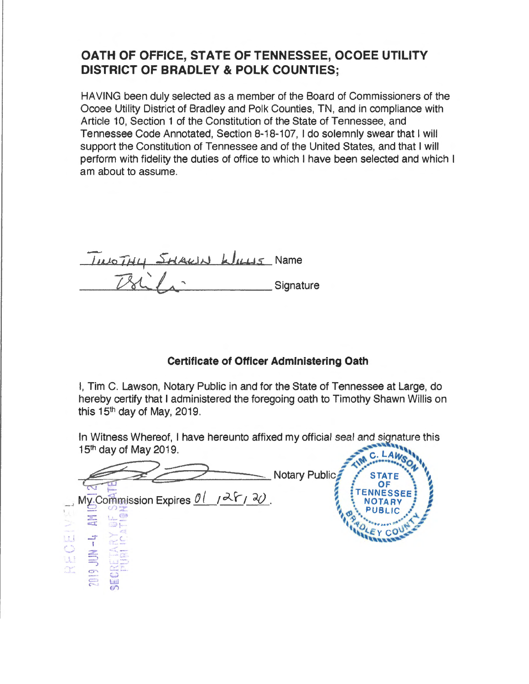## OATH OF OFFICE, STATE OF TENNESSEE, OCOEE UTILITY **DISTRICT OF BRADLEY & POLK COUNTIES;**

HAVING been duly selected as a member of the Board of Commissioners of the Ocoee Utility District of Bradley and Polk Counties, TN, and in compliance with Article 10, Section 1 of the Constitution of the State of Tennessee, and Tennessee Code Annotated, Section 8-18-107. I do solemnly swear that I will support the Constitution of Tennessee and of the United States, and that I will perform with fidelity the duties of office to which I have been selected and which I am about to assume.

INCTHY SHALLN WILLS Name Signature

## **Certificate of Officer Administering Oath**

I, Tim C. Lawson, Notary Public in and for the State of Tennessee at Large, do hereby certify that I administered the foregoing oath to Timothy Shawn Willis on this  $15<sup>th</sup>$  day of May, 2019.

In Witness Whereof, I have hereunto affixed my official seal and signature this 15<sup>th</sup> day of May 2019.

Notary Public **STAT** My Commission Expires  $01/26$ ,  $20$ . Đ.  $\frac{1}{2}$ iu<br>U<br>U<br>U  $-4019$ <br> $-1019$ Ter